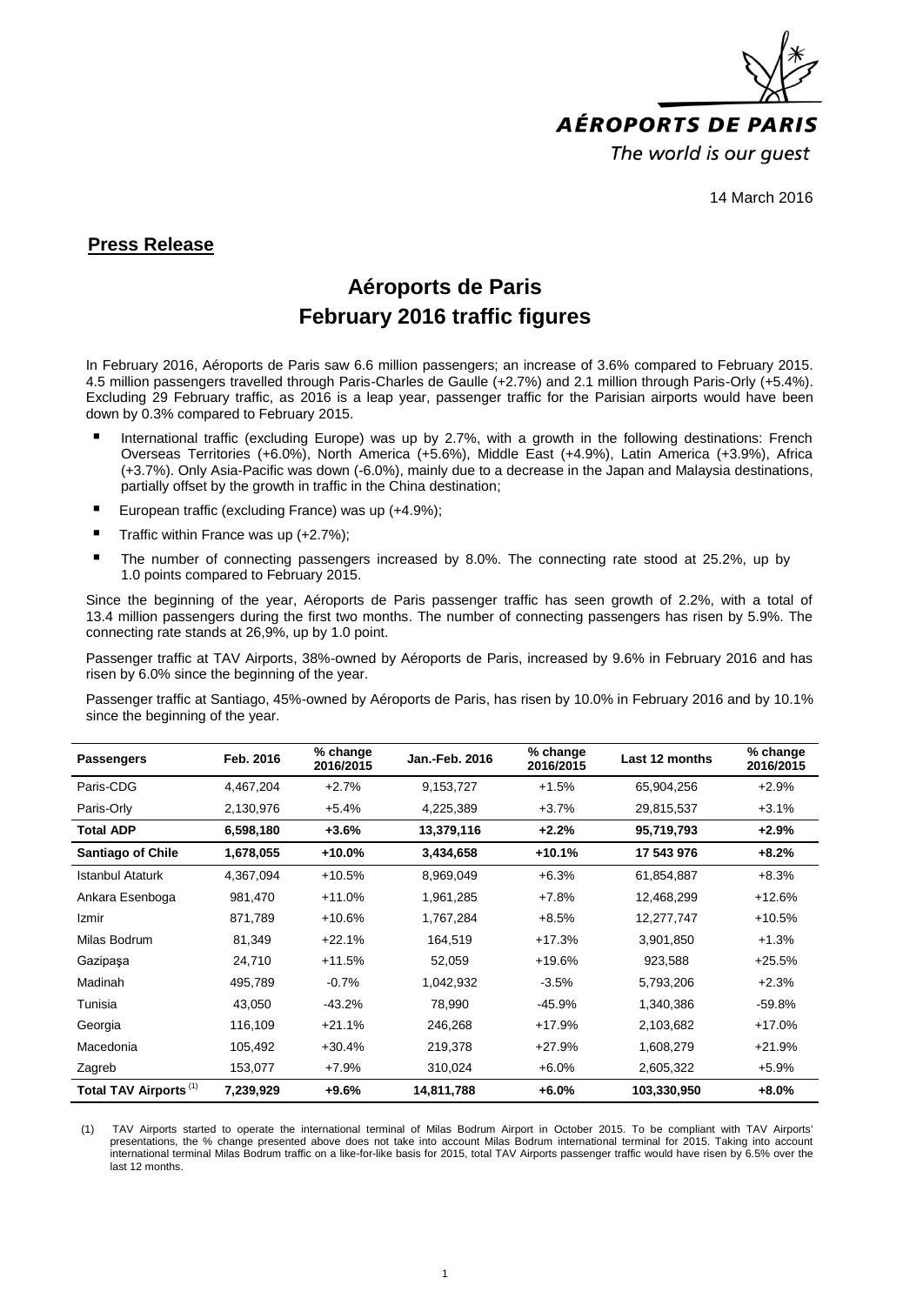

14 March 2016

## **Press Release**

## **Aéroports de Paris February 2016 traffic figures**

In February 2016, Aéroports de Paris saw 6.6 million passengers; an increase of 3.6% compared to February 2015. 4.5 million passengers travelled through Paris-Charles de Gaulle (+2.7%) and 2.1 million through Paris-Orly (+5.4%). Excluding 29 February traffic, as 2016 is a leap year, passenger traffic for the Parisian airports would have been down by 0.3% compared to February 2015.

- International traffic (excluding Europe) was up by 2.7%, with a growth in the following destinations: French Overseas Territories (+6.0%), North America (+5.6%), Middle East (+4.9%), Latin America (+3.9%), Africa (+3.7%). Only Asia-Pacific was down (-6.0%), mainly due to a decrease in the Japan and Malaysia destinations, partially offset by the growth in traffic in the China destination;
- European traffic (excluding France) was up (+4.9%);
- Traffic within France was up  $(+2.7\%)$ ;
- The number of connecting passengers increased by 8.0%. The connecting rate stood at 25.2%, up by 1.0 points compared to February 2015.

Since the beginning of the year, Aéroports de Paris passenger traffic has seen growth of 2.2%, with a total of 13.4 million passengers during the first two months. The number of connecting passengers has risen by 5.9%. The connecting rate stands at 26,9%, up by 1.0 point.

Passenger traffic at TAV Airports, 38%-owned by Aéroports de Paris, increased by 9.6% in February 2016 and has risen by 6.0% since the beginning of the year.

Passenger traffic at Santiago, 45%-owned by Aéroports de Paris, has risen by 10.0% in February 2016 and by 10.1% since the beginning of the year.

| <b>Passengers</b>                 | Feb. 2016 | % change<br>2016/2015 | <b>Jan.-Feb. 2016</b> | % change<br>2016/2015 | Last 12 months | % change<br>2016/2015 |
|-----------------------------------|-----------|-----------------------|-----------------------|-----------------------|----------------|-----------------------|
| Paris-CDG                         | 4,467,204 | $+2.7%$               | 9,153,727             | $+1.5%$               | 65,904,256     | $+2.9%$               |
| Paris-Orly                        | 2,130,976 | $+5.4%$               | 4,225,389             | $+3.7%$               | 29,815,537     | $+3.1%$               |
| <b>Total ADP</b>                  | 6,598,180 | $+3.6%$               | 13,379,116            | $+2.2%$               | 95,719,793     | $+2.9%$               |
| <b>Santiago of Chile</b>          | 1,678,055 | +10.0%                | 3,434,658             | $+10.1%$              | 17 543 976     | $+8.2%$               |
| <b>Istanbul Ataturk</b>           | 4,367,094 | $+10.5%$              | 8,969,049             | $+6.3%$               | 61,854,887     | $+8.3%$               |
| Ankara Esenboga                   | 981,470   | $+11.0%$              | 1,961,285             | $+7.8%$               | 12,468,299     | $+12.6%$              |
| Izmir                             | 871,789   | $+10.6%$              | 1,767,284             | $+8.5%$               | 12,277,747     | $+10.5%$              |
| Milas Bodrum                      | 81,349    | $+22.1%$              | 164,519               | $+17.3%$              | 3,901,850      | $+1.3%$               |
| Gazipaşa                          | 24,710    | $+11.5%$              | 52,059                | $+19.6%$              | 923,588        | $+25.5%$              |
| Madinah                           | 495,789   | $-0.7%$               | 1,042,932             | $-3.5%$               | 5,793,206      | $+2.3%$               |
| Tunisia                           | 43,050    | $-43.2%$              | 78,990                | $-45.9%$              | 1,340,386      | -59.8%                |
| Georgia                           | 116,109   | $+21.1%$              | 246,268               | $+17.9%$              | 2,103,682      | $+17.0%$              |
| Macedonia                         | 105,492   | $+30.4%$              | 219,378               | $+27.9%$              | 1,608,279      | $+21.9%$              |
| Zagreb                            | 153,077   | $+7.9%$               | 310,024               | $+6.0%$               | 2,605,322      | $+5.9%$               |
| Total TAV Airports <sup>(1)</sup> | 7,239,929 | $+9.6%$               | 14,811,788            | $+6.0%$               | 103,330,950    | $+8.0%$               |

(1) TAV Airports started to operate the international terminal of Milas Bodrum Airport in October 2015. To be compliant with TAV Airports' presentations, the % change presented above does not take into account Milas Bodrum international terminal for 2015. Taking into account international terminal Milas Bodrum traffic on a like-for-like basis for 2015, total TAV Airports passenger traffic would have risen by 6.5% over the last 12 months.